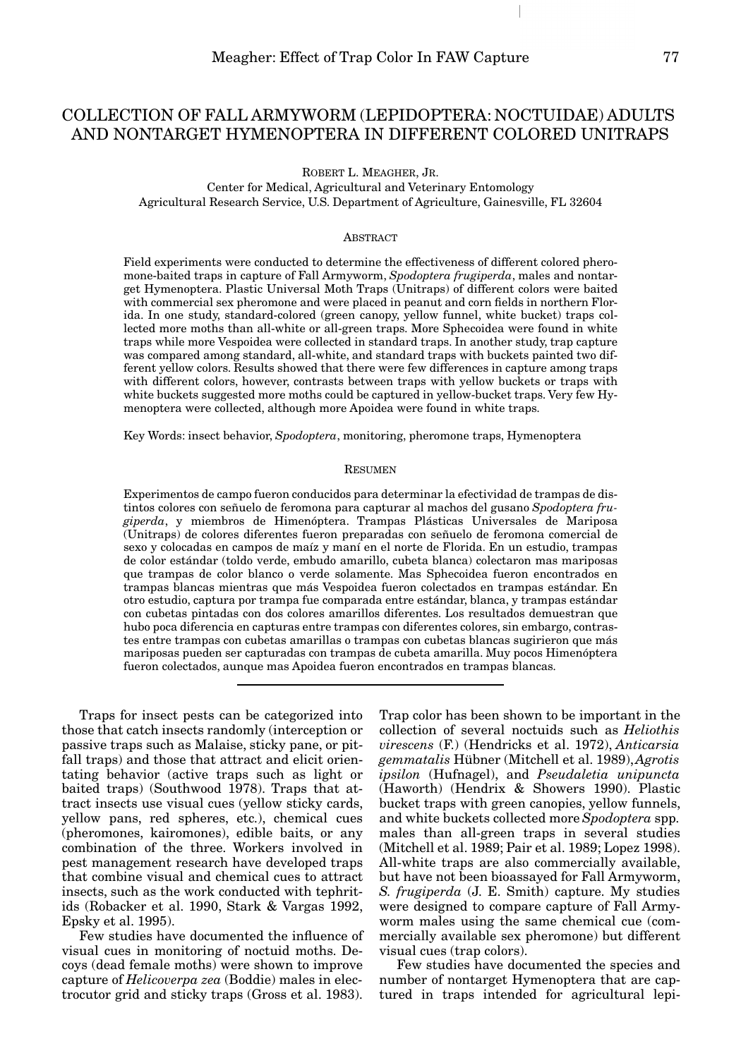# COLLECTION OF FALL ARMYWORM (LEPIDOPTERA: NOCTUIDAE) ADULTS AND NONTARGET HYMENOPTERA IN DIFFERENT COLORED UNITRAPS

ROBERT L. MEAGHER, JR. Center for Medical, Agricultural and Veterinary Entomology Agricultural Research Service, U.S. Department of Agriculture, Gainesville, FL 32604

### **ABSTRACT**

Field experiments were conducted to determine the effectiveness of different colored pheromone-baited traps in capture of Fall Armyworm, *Spodoptera frugiperda*, males and nontarget Hymenoptera. Plastic Universal Moth Traps (Unitraps) of different colors were baited with commercial sex pheromone and were placed in peanut and corn fields in northern Florida. In one study, standard-colored (green canopy, yellow funnel, white bucket) traps collected more moths than all-white or all-green traps. More Sphecoidea were found in white traps while more Vespoidea were collected in standard traps. In another study, trap capture was compared among standard, all-white, and standard traps with buckets painted two different yellow colors. Results showed that there were few differences in capture among traps with different colors, however, contrasts between traps with yellow buckets or traps with white buckets suggested more moths could be captured in yellow-bucket traps. Very few Hymenoptera were collected, although more Apoidea were found in white traps.

Key Words: insect behavior, *Spodoptera*, monitoring, pheromone traps, Hymenoptera

#### **RESUMEN**

Experimentos de campo fueron conducidos para determinar la efectividad de trampas de distintos colores con señuelo de feromona para capturar al machos del gusano *Spodoptera frugiperda*, y miembros de Himenóptera. Trampas Plásticas Universales de Mariposa (Unitraps) de colores diferentes fueron preparadas con señuelo de feromona comercial de sexo y colocadas en campos de maíz y maní en el norte de Florida. En un estudio, trampas de color estándar (toldo verde, embudo amarillo, cubeta blanca) colectaron mas mariposas que trampas de color blanco o verde solamente. Mas Sphecoidea fueron encontrados en trampas blancas mientras que más Vespoidea fueron colectados en trampas estándar. En otro estudio, captura por trampa fue comparada entre estándar, blanca, y trampas estándar con cubetas pintadas con dos colores amarillos diferentes. Los resultados demuestran que hubo poca diferencia en capturas entre trampas con diferentes colores, sin embargo, contrastes entre trampas con cubetas amarillas o trampas con cubetas blancas sugirieron que más mariposas pueden ser capturadas con trampas de cubeta amarilla. Muy pocos Himenóptera fueron colectados, aunque mas Apoidea fueron encontrados en trampas blancas.

Traps for insect pests can be categorized into those that catch insects randomly (interception or passive traps such as Malaise, sticky pane, or pitfall traps) and those that attract and elicit orientating behavior (active traps such as light or baited traps) (Southwood 1978). Traps that attract insects use visual cues (yellow sticky cards, yellow pans, red spheres, etc.), chemical cues (pheromones, kairomones), edible baits, or any combination of the three. Workers involved in pest management research have developed traps that combine visual and chemical cues to attract insects, such as the work conducted with tephritids (Robacker et al. 1990, Stark & Vargas 1992, Epsky et al. 1995).

Few studies have documented the influence of visual cues in monitoring of noctuid moths. Decoys (dead female moths) were shown to improve capture of *Helicoverpa zea* (Boddie) males in electrocutor grid and sticky traps (Gross et al. 1983).

Trap color has been shown to be important in the collection of several noctuids such as *Heliothis virescens* (F.) (Hendricks et al. 1972), *Anticarsia gemmatalis* Hübner (Mitchell et al. 1989), *Agrotis ipsilon* (Hufnagel), and *Pseudaletia unipuncta* (Haworth) (Hendrix & Showers 1990). Plastic bucket traps with green canopies, yellow funnels, and white buckets collected more *Spodoptera* spp. males than all-green traps in several studies (Mitchell et al. 1989; Pair et al. 1989; Lopez 1998). All-white traps are also commercially available, but have not been bioassayed for Fall Armyworm, *S. frugiperda* (J. E. Smith) capture. My studies were designed to compare capture of Fall Armyworm males using the same chemical cue (commercially available sex pheromone) but different visual cues (trap colors).

Few studies have documented the species and number of nontarget Hymenoptera that are captured in traps intended for agricultural lepi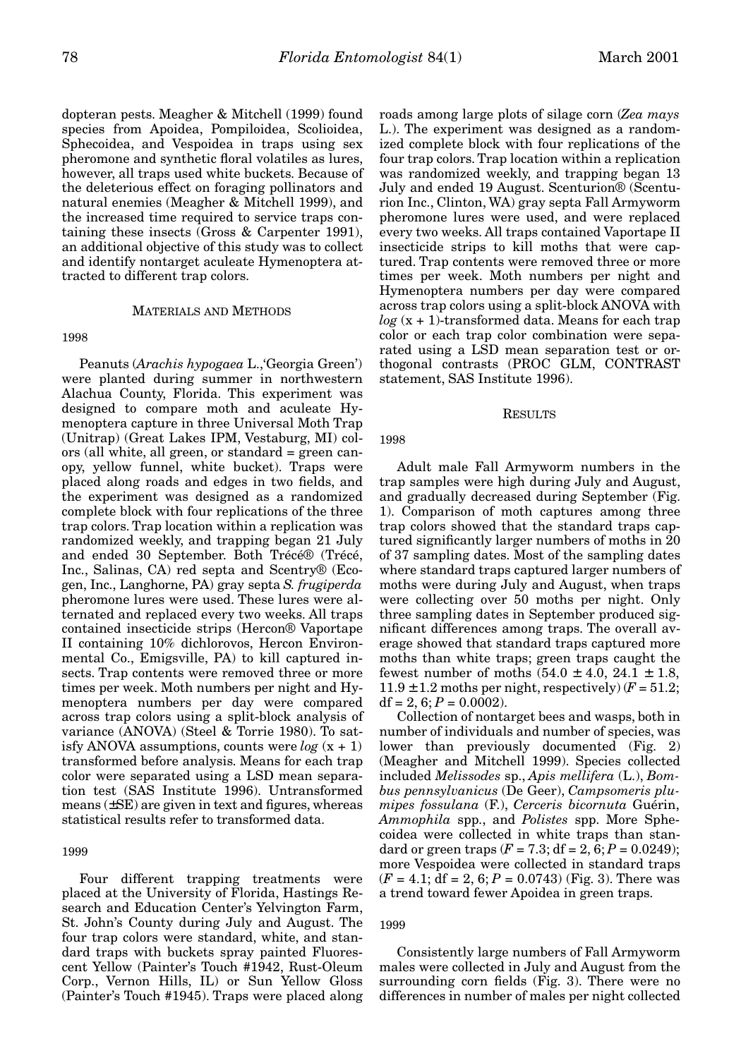dopteran pests. Meagher & Mitchell (1999) found species from Apoidea, Pompiloidea, Scolioidea, Sphecoidea, and Vespoidea in traps using sex pheromone and synthetic floral volatiles as lures, however, all traps used white buckets. Because of the deleterious effect on foraging pollinators and natural enemies (Meagher & Mitchell 1999), and the increased time required to service traps containing these insects (Gross & Carpenter 1991), an additional objective of this study was to collect and identify nontarget aculeate Hymenoptera attracted to different trap colors.

## MATERIALS AND METHODS

#### 1998

Peanuts (*Arachis hypogaea* L.,'Georgia Green') were planted during summer in northwestern Alachua County, Florida. This experiment was designed to compare moth and aculeate Hymenoptera capture in three Universal Moth Trap (Unitrap) (Great Lakes IPM, Vestaburg, MI) colors (all white, all green, or standard = green canopy, yellow funnel, white bucket). Traps were placed along roads and edges in two fields, and the experiment was designed as a randomized complete block with four replications of the three trap colors. Trap location within a replication was randomized weekly, and trapping began 21 July and ended 30 September. Both Trécé® (Trécé, Inc., Salinas, CA) red septa and Scentry® (Ecogen, Inc., Langhorne, PA) gray septa *S. frugiperda* pheromone lures were used. These lures were alternated and replaced every two weeks. All traps contained insecticide strips (Hercon® Vaportape II containing 10% dichlorovos, Hercon Environmental Co., Emigsville, PA) to kill captured insects. Trap contents were removed three or more times per week. Moth numbers per night and Hymenoptera numbers per day were compared across trap colors using a split-block analysis of variance (ANOVA) (Steel & Torrie 1980). To satisfy ANOVA assumptions, counts were  $log(x + 1)$ transformed before analysis. Means for each trap color were separated using a LSD mean separation test (SAS Institute 1996). Untransformed means (±SE) are given in text and figures, whereas statistical results refer to transformed data.

#### 1999

Four different trapping treatments were placed at the University of Florida, Hastings Research and Education Center's Yelvington Farm, St. John's County during July and August. The four trap colors were standard, white, and standard traps with buckets spray painted Fluorescent Yellow (Painter's Touch #1942, Rust-Oleum Corp., Vernon Hills, IL) or Sun Yellow Gloss (Painter's Touch #1945). Traps were placed along roads among large plots of silage corn (*Zea mays* L.). The experiment was designed as a randomized complete block with four replications of the four trap colors. Trap location within a replication was randomized weekly, and trapping began 13 July and ended 19 August. Scenturion® (Scenturion Inc., Clinton, WA) gray septa Fall Armyworm pheromone lures were used, and were replaced every two weeks. All traps contained Vaportape II insecticide strips to kill moths that were captured. Trap contents were removed three or more times per week. Moth numbers per night and Hymenoptera numbers per day were compared across trap colors using a split-block ANOVA with  $log(x + 1)$ -transformed data. Means for each trap color or each trap color combination were separated using a LSD mean separation test or orthogonal contrasts (PROC GLM, CONTRAST statement, SAS Institute 1996).

#### RESULTS

#### 1998

Adult male Fall Armyworm numbers in the trap samples were high during July and August, and gradually decreased during September (Fig. 1). Comparison of moth captures among three trap colors showed that the standard traps captured significantly larger numbers of moths in 20 of 37 sampling dates. Most of the sampling dates where standard traps captured larger numbers of moths were during July and August, when traps were collecting over 50 moths per night. Only three sampling dates in September produced significant differences among traps. The overall average showed that standard traps captured more moths than white traps; green traps caught the fewest number of moths  $(54.0 \pm 4.0, 24.1 \pm 1.8,$ 11.9  $\pm$  1.2 moths per night, respectively) ( $F = 51.2$ ;  $df = 2, 6; P = 0.0002$ .

Collection of nontarget bees and wasps, both in number of individuals and number of species, was lower than previously documented (Fig. 2) (Meagher and Mitchell 1999). Species collected included *Melissodes* sp., *Apis mellifera* (L.), *Bombus pennsylvanicus* (De Geer), *Campsomeris plumipes fossulana* (F.), *Cerceris bicornuta* Guérin, *Ammophila* spp., and *Polistes* spp. More Sphecoidea were collected in white traps than standard or green traps  $(F = 7.3; df = 2, 6; P = 0.0249);$ more Vespoidea were collected in standard traps  $(F = 4.1; df = 2, 6; P = 0.0743)$  (Fig. 3). There was a trend toward fewer Apoidea in green traps.

### 1999

Consistently large numbers of Fall Armyworm males were collected in July and August from the surrounding corn fields (Fig. 3). There were no differences in number of males per night collected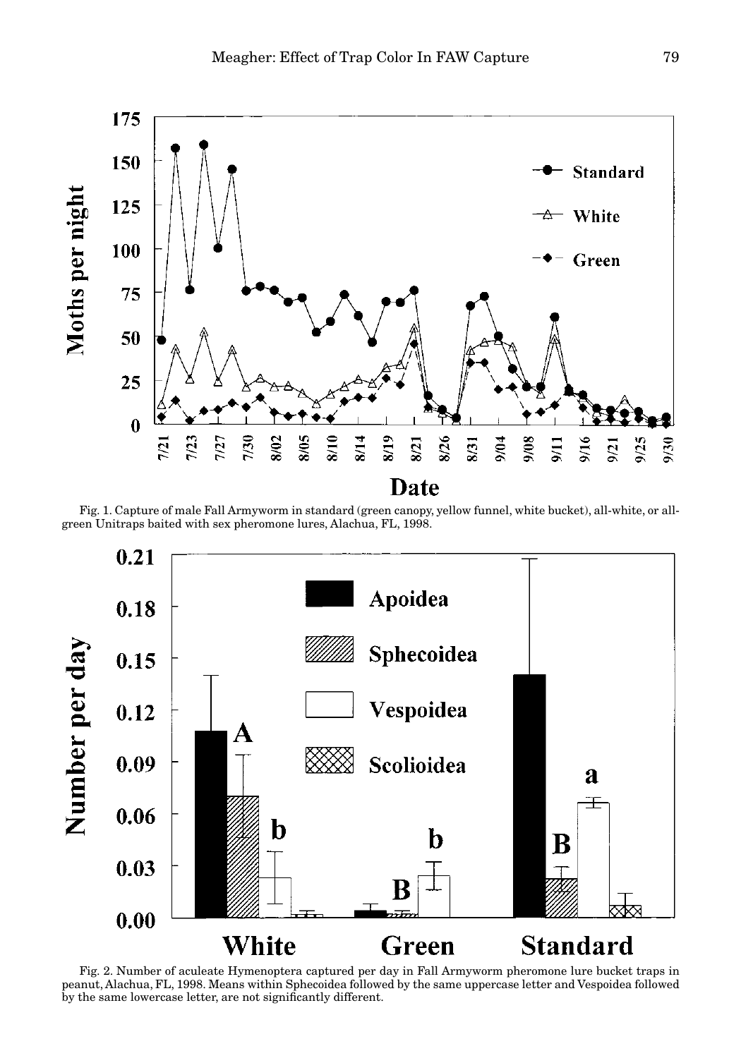

Fig. 1. Capture of male Fall Armyworm in standard (green canopy, yellow funnel, white bucket), all-white, or allgreen Unitraps baited with sex pheromone lures, Alachua, FL, 1998.



Fig. 2. Number of aculeate Hymenoptera captured per day in Fall Armyworm pheromone lure bucket traps in peanut, Alachua, FL, 1998. Means within Sphecoidea followed by the same uppercase letter and Vespoidea followed by the same lowercase letter, are not significantly different.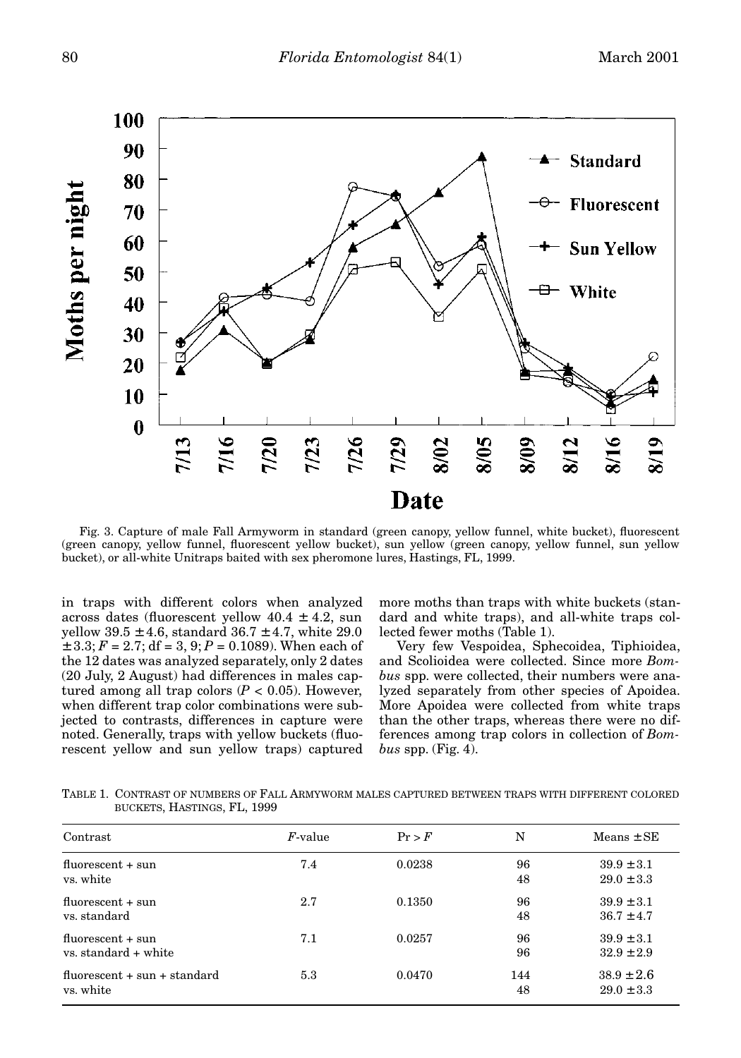

Fig. 3. Capture of male Fall Armyworm in standard (green canopy, yellow funnel, white bucket), fluorescent (green canopy, yellow funnel, fluorescent yellow bucket), sun yellow (green canopy, yellow funnel, sun yellow bucket), or all-white Unitraps baited with sex pheromone lures, Hastings, FL, 1999.

in traps with different colors when analyzed across dates (fluorescent yellow  $40.4 \pm 4.2$ , sun yellow  $39.5 \pm 4.6$ , standard  $36.7 \pm 4.7$ , white 29.0  $\pm$  3.3;  $F = 2.7$ ; df = 3, 9;  $P = 0.1089$ ). When each of the 12 dates was analyzed separately, only 2 dates (20 July, 2 August) had differences in males captured among all trap colors  $(P < 0.05)$ . However, when different trap color combinations were subjected to contrasts, differences in capture were noted. Generally, traps with yellow buckets (fluorescent yellow and sun yellow traps) captured more moths than traps with white buckets (standard and white traps), and all-white traps collected fewer moths (Table 1).

Very few Vespoidea, Sphecoidea, Tiphioidea, and Scolioidea were collected. Since more *Bombus* spp. were collected, their numbers were analyzed separately from other species of Apoidea. More Apoidea were collected from white traps than the other traps, whereas there were no differences among trap colors in collection of *Bombus* spp. (Fig. 4).

TABLE 1. CONTRAST OF NUMBERS OF FALL ARMYWORM MALES CAPTURED BETWEEN TRAPS WITH DIFFERENT COLORED BUCKETS, HASTINGS, FL, 1999

| Contrast                                    | $F$ -value | Pr > F | N         | $Means \pm SE$                   |
|---------------------------------------------|------------|--------|-----------|----------------------------------|
| $fluorescent + sun$<br>vs. white            | 7.4        | 0.0238 | 96<br>48  | $39.9 \pm 3.1$<br>$29.0 \pm 3.3$ |
| $fluorescent + sun$<br>vs. standard         | 2.7        | 0.1350 | 96<br>48  | $39.9 \pm 3.1$<br>$36.7 \pm 4.7$ |
| $fluorescent + sun$<br>vs. standard + white | 7.1        | 0.0257 | 96<br>96  | $39.9 \pm 3.1$<br>$32.9 \pm 2.9$ |
| $fluorescent + sun + standard$<br>vs. white | 5.3        | 0.0470 | 144<br>48 | $38.9 \pm 2.6$<br>$29.0 \pm 3.3$ |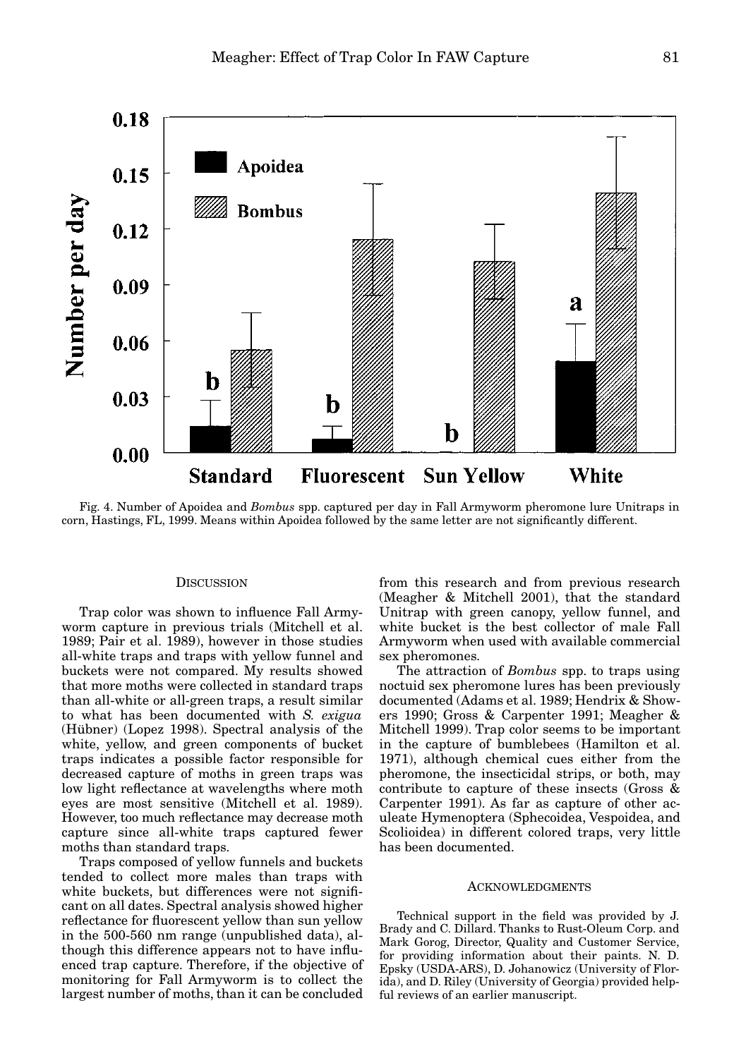

Fig. 4. Number of Apoidea and *Bombus* spp. captured per day in Fall Armyworm pheromone lure Unitraps in corn, Hastings, FL, 1999. Means within Apoidea followed by the same letter are not significantly different.

## **DISCUSSION**

Trap color was shown to influence Fall Armyworm capture in previous trials (Mitchell et al. 1989; Pair et al. 1989), however in those studies all-white traps and traps with yellow funnel and buckets were not compared. My results showed that more moths were collected in standard traps than all-white or all-green traps, a result similar to what has been documented with *S. exigua* (Hübner) (Lopez 1998). Spectral analysis of the white, yellow, and green components of bucket traps indicates a possible factor responsible for decreased capture of moths in green traps was low light reflectance at wavelengths where moth eyes are most sensitive (Mitchell et al. 1989). However, too much reflectance may decrease moth capture since all-white traps captured fewer moths than standard traps.

Traps composed of yellow funnels and buckets tended to collect more males than traps with white buckets, but differences were not significant on all dates. Spectral analysis showed higher reflectance for fluorescent yellow than sun yellow in the 500-560 nm range (unpublished data), although this difference appears not to have influenced trap capture. Therefore, if the objective of monitoring for Fall Armyworm is to collect the largest number of moths, than it can be concluded from this research and from previous research (Meagher & Mitchell 2001), that the standard Unitrap with green canopy, yellow funnel, and white bucket is the best collector of male Fall Armyworm when used with available commercial sex pheromones.

The attraction of *Bombus* spp. to traps using noctuid sex pheromone lures has been previously documented (Adams et al. 1989; Hendrix & Showers 1990; Gross & Carpenter 1991; Meagher & Mitchell 1999). Trap color seems to be important in the capture of bumblebees (Hamilton et al. 1971), although chemical cues either from the pheromone, the insecticidal strips, or both, may contribute to capture of these insects (Gross & Carpenter 1991). As far as capture of other aculeate Hymenoptera (Sphecoidea, Vespoidea, and Scolioidea) in different colored traps, very little has been documented.

#### ACKNOWLEDGMENTS

Technical support in the field was provided by J. Brady and C. Dillard. Thanks to Rust-Oleum Corp. and Mark Gorog, Director, Quality and Customer Service, for providing information about their paints. N. D. Epsky (USDA-ARS), D. Johanowicz (University of Florida), and D. Riley (University of Georgia) provided helpful reviews of an earlier manuscript.